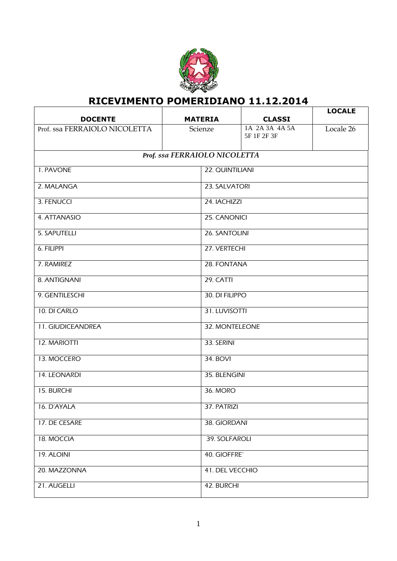

## **RICEVIMENTO POMERIDIANO 11.12.2014**

| <b>DOCENTE</b>                | <b>MATERIA</b> | <b>CLASSI</b>                 | <b>LOCALE</b> |  |
|-------------------------------|----------------|-------------------------------|---------------|--|
| Prof. ssa FERRAIOLO NICOLETTA | Scienze        | 1A 2A 3A 4A 5A<br>5F 1F 2F 3F | Locale 26     |  |
|                               |                |                               |               |  |
| Prof. ssa FERRAIOLO NICOLETTA |                |                               |               |  |
| 1. PAVONE                     |                | 22. QUINTILIANI               |               |  |
| 2. MALANGA                    |                | 23. SALVATORI                 |               |  |
| 3. FENUCCI                    |                | 24. IACHIZZI                  |               |  |
| 4. ATTANASIO                  |                | 25. CANONICI                  |               |  |
| 5. SAPUTELLI                  |                | 26. SANTOLINI                 |               |  |
| 6. FILIPPI                    |                | 27. VERTECHI                  |               |  |
| 7. RAMIREZ                    |                | 28. FONTANA                   |               |  |
| 8. ANTIGNANI                  | 29. CATTI      |                               |               |  |
| 9. GENTILESCHI                |                | 30. DI FILIPPO                |               |  |
| 10. DI CARLO                  |                | 31. LUVISOTTI                 |               |  |
| 11. GIUDICEANDREA             |                | 32. MONTELEONE                |               |  |
| <b>12. MARIOTTI</b>           | 33. SERINI     |                               |               |  |
| 13. MOCCERO                   | 34. BOVI       |                               |               |  |
| 14. LEONARDI                  |                | 35. BLENGINI                  |               |  |
| 15. BURCHI                    |                | 36. MORO                      |               |  |
| 16. D'AYALA                   |                | 37. PATRIZI                   |               |  |
| 17. DE CESARE                 |                | 38. GIORDANI                  |               |  |
| 18. MOCCIA                    |                | 39. SOLFAROLI                 |               |  |
| 19. ALOINI                    |                | 40. GIOFFRE'                  |               |  |
| 20. MAZZONNA                  |                | 41. DEL VECCHIO               |               |  |
| 21. AUGELLI                   |                | 42. BURCHI                    |               |  |